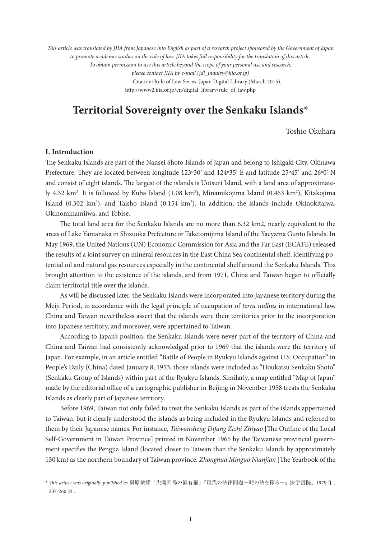*This article was translated by JIIA from Japanese into English as part of a research project sponsored by the Government of Japan to promote academic studies on the rule of law. JIIA takes full responsibility for the translation of this article. To obtain permission to use this article beyond the scope of your personal use and research, please contact JIIA by e-mail (jdl\_inquiry@jiia.or.jp)* Citation: Rule of Law Series, Japan Digital Library (March 2015), http://www2.jiia.or.jp/en/digital\_library/rule\_of\_law.php

# **Territorial Sovereignty over the Senkaku Islands\*1**

Toshio Okuhara

# **I. Introduction**

The Senkaku Islands are part of the Nansei Shoto Islands of Japan and belong to Ishigaki City, Okinawa Prefecture. They are located between longitude 123°30' and 124°35' E and latitude 25°45' and 26°0' N and consist of eight islands. The largest of the islands is Uotsuri Island, with a land area of approximately 4.32 km². It is followed by Kuba Island (1.08 km²), Minamikojima Island (0.463 km²), Kitakojima Island (0.302 km<sup>2</sup>), and Taisho Island (0.154 km<sup>2</sup>). In addition, the islands include Okinokitaiwa, Okinominamiiwa, and Tobise.

The total land area for the Senkaku Islands are no more than 6.32 km2, nearly equivalent to the areas of Lake Yamanaka in Shizuoka Prefecture or Taketomijima Island of the Yaeyama Gunto Islands. In May 1969, the United Nations (UN) Economic Commission for Asia and the Far East (ECAFE) released the results of a joint survey on mineral resources in the East China Sea continental shelf, identifying potential oil and natural gas resources especially in the continental shelf around the Senkaku Islands. This brought attention to the existence of the islands, and from 1971, China and Taiwan began to officially claim territorial title over the islands.

As will be discussed later, the Senkaku Islands were incorporated into Japanese territory during the Meiji Period, in accordance with the legal principle of occupation of *terra nullius* in international law. China and Taiwan nevertheless assert that the islands were their territories prior to the incorporation into Japanese territory, and moreover, were appertained to Taiwan.

According to Japan's position, the Senkaku Islands were never part of the territory of China and China and Taiwan had consistently acknowledged prior to 1969 that the islands were the territory of Japan. For example, in an article entitled "Battle of People in Ryukyu Islands against U.S. Occupation" in People's Daily (China) dated January 8, 1953, those islands were included as "Houkatsu Senkaku Shoto" (Senkaku Group of Islands) within part of the Ryukyu Islands. Similarly, a map entitled "Map of Japan" made by the editorial office of a cartographic publisher in Beijing in November 1958 treats the Senkaku Islands as clearly part of Japanese territory.

Before 1969, Taiwan not only failed to treat the Senkaku Islands as part of the islands appertained to Taiwan, but it clearly understood the islands as being included in the Ryukyu Islands and referred to them by their Japanese names. For instance, *Taiwansheng Difang Zizhi Zhiyao* [The Outline of the Local Self-Government in Taiwan Province] printed in November 1965 by the Taiwanese provincial government specifies the Pengjia Island (located closer to Taiwan than the Senkaku Islands by approximately 150 km) as the northern boundary of Taiwan province. *Zhonghua Minguo Nianjian* [The Yearbook of the

<sup>\*</sup> *This article was originally published as* 奥原敏雄「尖閣列島の領有権」『現代の法律問題―時の法を探る―』法学書院、1979 年、 237-260 頁 .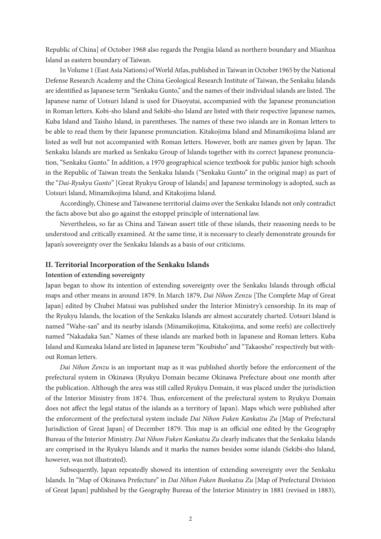Republic of China] of October 1968 also regards the Pengjia Island as northern boundary and Mianhua Island as eastern boundary of Taiwan.

In Volume 1 (East Asia Nations) of World Atlas, published in Taiwan in October 1965 by the National Defense Research Academy and the China Geological Research Institute of Taiwan, the Senkaku Islands are identified as Japanese term "Senkaku Gunto," and the names of their individual islands are listed. The Japanese name of Uotsuri Island is used for Diaoyutai, accompanied with the Japanese pronunciation in Roman letters. Kobi-sho Island and Sekibi-sho Island are listed with their respective Japanese names, Kuba Island and Taisho Island, in parentheses. The names of these two islands are in Roman letters to be able to read them by their Japanese pronunciation. Kitakojima Island and Minamikojima Island are listed as well but not accompanied with Roman letters. However, both are names given by Japan. The Senkaku Islands are marked as Senkaku Group of Islands together with its correct Japanese pronunciation, "Senkaku Gunto." In addition, a 1970 geographical science textbook for public junior high schools in the Republic of Taiwan treats the Senkaku Islands ("Senkaku Gunto" in the original map) as part of the "*Dai-Ryukyu Gunto*" [Great Ryukyu Group of Islands] and Japanese terminology is adopted, such as Uotsuri Island, Minamikojima Island, and Kitakojima Island.

Accordingly, Chinese and Taiwanese territorial claims over the Senkaku Islands not only contradict the facts above but also go against the estoppel principle of international law.

Nevertheless, so far as China and Taiwan assert title of these islands, their reasoning needs to be understood and critically examined. At the same time, it is necessary to clearly demonstrate grounds for Japan's sovereignty over the Senkaku Islands as a basis of our criticisms.

#### **II. Territorial Incorporation of the Senkaku Islands**

#### **Intention of extending sovereignty**

Japan began to show its intention of extending sovereignty over the Senkaku Islands through official maps and other means in around 1879. In March 1879, *Dai Nihon Zenzu* [The Complete Map of Great Japan] edited by Chubei Matsui was published under the Interior Ministry's censorship. In its map of the Ryukyu Islands, the location of the Senkaku Islands are almost accurately charted. Uotsuri Island is named "Wahe-san" and its nearby islands (Minamikojima, Kitakojima, and some reefs) are collectively named "Nakadaka San." Names of these islands are marked both in Japanese and Roman letters. Kuba Island and Kumeaka Island are listed in Japanese term "Koubisho" and "Takaosho" respectively but without Roman letters.

*Dai Nihon Zenzu* is an important map as it was published shortly before the enforcement of the prefectural system in Okinawa (Ryukyu Domain became Okinawa Prefecture about one month after the publication. Although the area was still called Ryukyu Domain, it was placed under the jurisdiction of the Interior Ministry from 1874. Thus, enforcement of the prefectural system to Ryukyu Domain does not affect the legal status of the islands as a territory of Japan). Maps which were published after the enforcement of the prefectural system include *Dai Nihon Fuken Kankatsu Zu* [Map of Prefectural Jurisdiction of Great Japan] of December 1879. This map is an official one edited by the Geography Bureau of the Interior Ministry. *Dai Nihon Fuken Kankatsu Zu* clearly indicates that the Senkaku Islands are comprised in the Ryukyu Islands and it marks the names besides some islands (Sekibi-sho Island, however, was not illustrated).

Subsequently, Japan repeatedly showed its intention of extending sovereignty over the Senkaku Islands. In "Map of Okinawa Prefecture" in *Dai Nihon Fuken Bunkatsu Zu* [Map of Prefectural Division of Great Japan] published by the Geography Bureau of the Interior Ministry in 1881 (revised in 1883),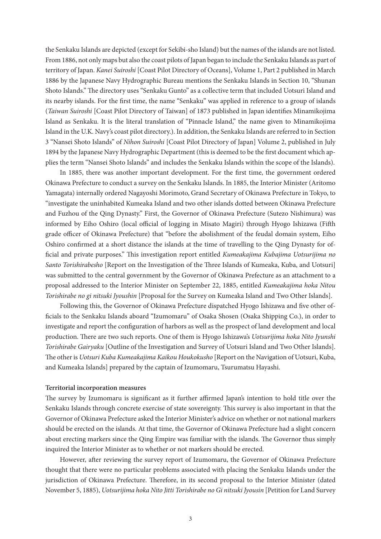the Senkaku Islands are depicted (except for Sekibi-sho Island) but the names of the islands are not listed. From 1886, not only maps but also the coast pilots of Japan began to include the Senkaku Islands as part of territory of Japan. *Kanei Suiroshi* [Coast Pilot Directory of Oceans], Volume 1, Part 2 published in March 1886 by the Japanese Navy Hydrographic Bureau mentions the Senkaku Islands in Section 10, "Shunan Shoto Islands." The directory uses "Senkaku Gunto" as a collective term that included Uotsuri Island and its nearby islands. For the first time, the name "Senkaku" was applied in reference to a group of islands (*Taiwan Suiroshi* [Coast Pilot Directory of Taiwan] of 1873 published in Japan identifies Minamikojima Island as Senkaku. It is the literal translation of "Pinnacle Island," the name given to Minamikojima Island in the U.K. Navy's coast pilot directory.). In addition, the Senkaku Islands are referred to in Section 3 "Nansei Shoto Islands" of *Nihon Suiroshi* [Coast Pilot Directory of Japan] Volume 2, published in July 1894 by the Japanese Navy Hydrographic Department (this is deemed to be the first document which applies the term "Nansei Shoto Islands" and includes the Senkaku Islands within the scope of the Islands).

In 1885, there was another important development. For the first time, the government ordered Okinawa Prefecture to conduct a survey on the Senkaku Islands. In 1885, the Interior Minister (Aritomo Yamagata) internally ordered Nagayoshi Morimoto, Grand Secretary of Okinawa Prefecture in Tokyo, to "investigate the uninhabited Kumeaka Island and two other islands dotted between Okinawa Prefecture and Fuzhou of the Qing Dynasty." First, the Governor of Okinawa Prefecture (Sutezo Nishimura) was informed by Eiho Oshiro (local official of logging in Misato Magiri) through Hyogo Ishizawa (Fifth grade officer of Okinawa Prefecture) that "before the abolishment of the feudal domain system, Eiho Oshiro confirmed at a short distance the islands at the time of travelling to the Qing Dynasty for official and private purposes." This investigation report entitled *Kumeakajima Kubajima Uotsurijima no Santo Torishirabesho* [Report on the Investigation of the Three Islands of Kumeaka, Kuba, and Uotsuri] was submitted to the central government by the Governor of Okinawa Prefecture as an attachment to a proposal addressed to the Interior Minister on September 22, 1885, entitled *Kumeakajima hoka Nitou Torishirabe no gi nitsuki Jyoushin* [Proposal for the Survey on Kumeaka Island and Two Other Islands].

Following this, the Governor of Okinawa Prefecture dispatched Hyogo Ishizawa and five other officials to the Senkaku Islands aboard "Izumomaru" of Osaka Shosen (Osaka Shipping Co.), in order to investigate and report the configuration of harbors as well as the prospect of land development and local production. There are two such reports. One of them is Hyogo Ishizawa's *Uotsurijima hoka Nito Jyunshi Torishirabe Gairyaku* [Outline of the Investigation and Survey of Uotsuri Island and Two Other Islands]. The other is *Uotsuri Kuba Kumeakajima Kaikou Houkokusho* [Report on the Navigation of Uotsuri, Kuba, and Kumeaka Islands] prepared by the captain of Izumomaru, Tsurumatsu Hayashi.

#### **Territorial incorporation measures**

The survey by Izumomaru is significant as it further affirmed Japan's intention to hold title over the Senkaku Islands through concrete exercise of state sovereignty. This survey is also important in that the Governor of Okinawa Prefecture asked the Interior Minister's advice on whether or not national markers should be erected on the islands. At that time, the Governor of Okinawa Prefecture had a slight concern about erecting markers since the Qing Empire was familiar with the islands. The Governor thus simply inquired the Interior Minister as to whether or not markers should be erected.

However, after reviewing the survey report of Izumomaru, the Governor of Okinawa Prefecture thought that there were no particular problems associated with placing the Senkaku Islands under the jurisdiction of Okinawa Prefecture. Therefore, in its second proposal to the Interior Minister (dated November 5, 1885), *Uotsurijima hoka Nito Jitti Torishirabe no Gi nitsuki Jyousin* [Petition for Land Survey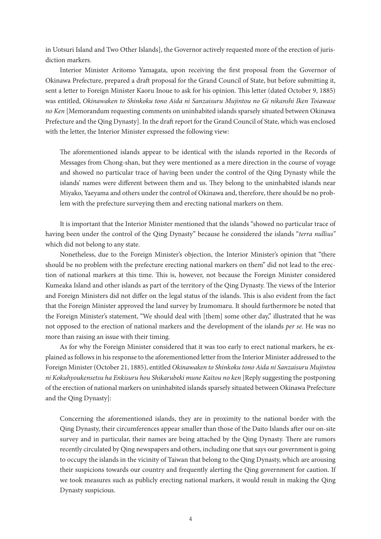in Uotsuri Island and Two Other Islands], the Governor actively requested more of the erection of jurisdiction markers.

Interior Minister Aritomo Yamagata, upon receiving the first proposal from the Governor of Okinawa Prefecture, prepared a draft proposal for the Grand Council of State, but before submitting it, sent a letter to Foreign Minister Kaoru Inoue to ask for his opinion. This letter (dated October 9, 1885) was entitled, *Okinawaken to Shinkoku tono Aida ni Sanzaisuru Mujintou no Gi nikanshi Iken Toiawase no Ken* [Memorandum requesting comments on uninhabited islands sparsely situated between Okinawa Prefecture and the Qing Dynasty]. In the draft report for the Grand Council of State, which was enclosed with the letter, the Interior Minister expressed the following view:

The aforementioned islands appear to be identical with the islands reported in the Records of Messages from Chong-shan, but they were mentioned as a mere direction in the course of voyage and showed no particular trace of having been under the control of the Qing Dynasty while the islands' names were different between them and us. They belong to the uninhabited islands near Miyako, Yaeyama and others under the control of Okinawa and, therefore, there should be no problem with the prefecture surveying them and erecting national markers on them.

It is important that the Interior Minister mentioned that the islands "showed no particular trace of having been under the control of the Qing Dynasty" because he considered the islands "*terra nullius"* which did not belong to any state.

Nonetheless, due to the Foreign Minister's objection, the Interior Minister's opinion that "there should be no problem with the prefecture erecting national markers on them" did not lead to the erection of national markers at this time. This is, however, not because the Foreign Minister considered Kumeaka Island and other islands as part of the territory of the Qing Dynasty. The views of the Interior and Foreign Ministers did not differ on the legal status of the islands. This is also evident from the fact that the Foreign Minister approved the land survey by Izumomaru. It should furthermore be noted that the Foreign Minister's statement, "We should deal with [them] some other day," illustrated that he was not opposed to the erection of national markers and the development of the islands *per se*. He was no more than raising an issue with their timing.

As for why the Foreign Minister considered that it was too early to erect national markers, he explained as follows in his response to the aforementioned letter from the Interior Minister addressed to the Foreign Minister (October 21, 1885), entitled *Okinawaken to Shinkoku tono Aida ni Sanzaisuru Mujintou ni Kokuhyoukensetsu ha Enkisuru hou Shikarubeki mune Kaitou no ken* [Reply suggesting the postponing of the erection of national markers on uninhabited islands sparsely situated between Okinawa Prefecture and the Qing Dynasty]:

Concerning the aforementioned islands, they are in proximity to the national border with the Qing Dynasty, their circumferences appear smaller than those of the Daito Islands after our on-site survey and in particular, their names are being attached by the Qing Dynasty. There are rumors recently circulated by Qing newspapers and others, including one that says our government is going to occupy the islands in the vicinity of Taiwan that belong to the Qing Dynasty, which are arousing their suspicions towards our country and frequently alerting the Qing government for caution. If we took measures such as publicly erecting national markers, it would result in making the Qing Dynasty suspicious.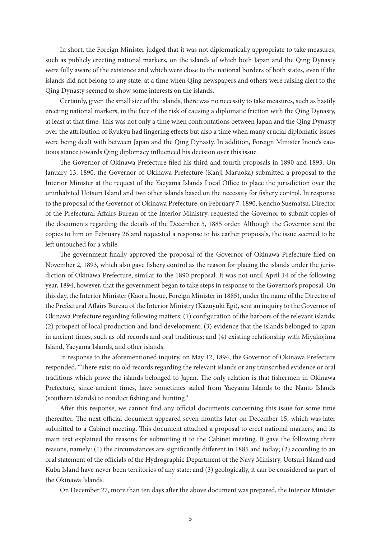In short, the Foreign Minister judged that it was not diplomatically appropriate to take measures, such as publicly erecting national markers, on the islands of which both Japan and the Qing Dynasty were fully aware of the existence and which were close to the national borders of both states, even if the islands did not belong to any state, at a time when Qing newspapers and others were raising alert to the Qing Dynasty seemed to show some interests on the islands.

Certainly, given the small size of the islands, there was no necessity to take measures, such as hastily erecting national markers, in the face of the risk of causing a diplomatic friction with the Qing Dynasty, at least at that time. This was not only a time when confrontations between Japan and the Qing Dynasty over the attribution of Ryukyu had lingering effects but also a time when many crucial diplomatic issues were being dealt with between Japan and the Qing Dynasty. In addition, Foreign Minister Inoue's cautious stance towards Qing diplomacy influenced his decision over this issue.

The Governor of Okinawa Prefecture filed his third and fourth proposals in 1890 and 1893. On January 13, 1890, the Governor of Okinawa Prefecture (Kanji Maruoka) submitted a proposal to the Interior Minister at the request of the Yaeyama Islands Local Office to place the jurisdiction over the uninhabited Uotsuri Island and two other islands based on the necessity for fishery control. In response to the proposal of the Governor of Okinawa Prefecture, on February 7, 1890, Kencho Suematsu, Director of the Prefectural Affairs Bureau of the Interior Ministry, requested the Governor to submit copies of the documents regarding the details of the December 5, 1885 order. Although the Governor sent the copies to him on February 26 and requested a response to his earlier proposals, the issue seemed to be left untouched for a while.

The government finally approved the proposal of the Governor of Okinawa Prefecture filed on November 2, 1893, which also gave fishery control as the reason for placing the islands under the jurisdiction of Okinawa Prefecture, similar to the 1890 proposal. It was not until April 14 of the following year, 1894, however, that the government began to take steps in response to the Governor's proposal. On this day, the Interior Minister (Kaoru Inoue, Foreign Minister in 1885), under the name of the Director of the Prefectural Affairs Bureau of the Interior Ministry (Kazuyuki Egi), sent an inquiry to the Governor of Okinawa Prefecture regarding following matters: (1) configuration of the harbors of the relevant islands; (2) prospect of local production and land development; (3) evidence that the islands belonged to Japan in ancient times, such as old records and oral traditions; and (4) existing relationship with Miyakojima Island, Yaeyama Islands, and other islands.

In response to the aforementioned inquiry, on May 12, 1894, the Governor of Okinawa Prefecture responded, "There exist no old records regarding the relevant islands or any transcribed evidence or oral traditions which prove the islands belonged to Japan. The only relation is that fishermen in Okinawa Prefecture, since ancient times, have sometimes sailed from Yaeyama Islands to the Nanto Islands (southern islands) to conduct fishing and hunting."

After this response, we cannot find any official documents concerning this issue for some time thereafter. The next official document appeared seven months later on December 15, which was later submitted to a Cabinet meeting. This document attached a proposal to erect national markers, and its main text explained the reasons for submitting it to the Cabinet meeting. It gave the following three reasons, namely: (1) the circumstances are significantly different in 1885 and today; (2) according to an oral statement of the officials of the Hydrographic Department of the Navy Ministry, Uotsuri Island and Kuba Island have never been territories of any state; and (3) geologically, it can be considered as part of the Okinawa Islands.

On December 27, more than ten days after the above document was prepared, the Interior Minister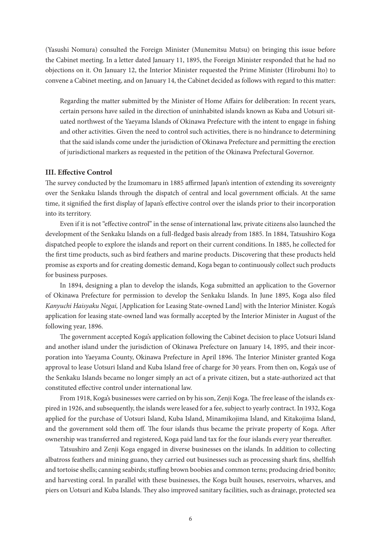(Yasushi Nomura) consulted the Foreign Minister (Munemitsu Mutsu) on bringing this issue before the Cabinet meeting. In a letter dated January 11, 1895, the Foreign Minister responded that he had no objections on it. On January 12, the Interior Minister requested the Prime Minister (Hirobumi Ito) to convene a Cabinet meeting, and on January 14, the Cabinet decided as follows with regard to this matter:

Regarding the matter submitted by the Minister of Home Affairs for deliberation: In recent years, certain persons have sailed in the direction of uninhabited islands known as Kuba and Uotsuri situated northwest of the Yaeyama Islands of Okinawa Prefecture with the intent to engage in fishing and other activities. Given the need to control such activities, there is no hindrance to determining that the said islands come under the jurisdiction of Okinawa Prefecture and permitting the erection of jurisdictional markers as requested in the petition of the Okinawa Prefectural Governor.

# **III. Effective Control**

The survey conducted by the Izumomaru in 1885 affirmed Japan's intention of extending its sovereignty over the Senkaku Islands through the dispatch of central and local government officials. At the same time, it signified the first display of Japan's effective control over the islands prior to their incorporation into its territory.

Even if it is not "effective control" in the sense of international law, private citizens also launched the development of the Senkaku Islands on a full-fledged basis already from 1885. In 1884, Tatsushiro Koga dispatched people to explore the islands and report on their current conditions. In 1885, he collected for the first time products, such as bird feathers and marine products. Discovering that these products held promise as exports and for creating domestic demand, Koga began to continuously collect such products for business purposes.

In 1894, designing a plan to develop the islands, Koga submitted an application to the Governor of Okinawa Prefecture for permission to develop the Senkaku Islands. In June 1895, Koga also filed *Kanyuchi Haisyaku Negai,* [Application for Leasing State-owned Land] with the Interior Minister. Koga's application for leasing state-owned land was formally accepted by the Interior Minister in August of the following year, 1896.

The government accepted Koga's application following the Cabinet decision to place Uotsuri Island and another island under the jurisdiction of Okinawa Prefecture on January 14, 1895, and their incorporation into Yaeyama County, Okinawa Prefecture in April 1896. The Interior Minister granted Koga approval to lease Uotsuri Island and Kuba Island free of charge for 30 years. From then on, Koga's use of the Senkaku Islands became no longer simply an act of a private citizen, but a state-authorized act that constituted effective control under international law.

From 1918, Koga's businesses were carried on by his son, Zenji Koga. The free lease of the islands expired in 1926, and subsequently, the islands were leased for a fee, subject to yearly contract. In 1932, Koga applied for the purchase of Uotsuri Island, Kuba Island, Minamikojima Island, and Kitakojima Island, and the government sold them off. The four islands thus became the private property of Koga. After ownership was transferred and registered, Koga paid land tax for the four islands every year thereafter.

Tatsushiro and Zenji Koga engaged in diverse businesses on the islands. In addition to collecting albatross feathers and mining guano, they carried out businesses such as processing shark fins, shellfish and tortoise shells; canning seabirds; stuffing brown boobies and common terns; producing dried bonito; and harvesting coral. In parallel with these businesses, the Koga built houses, reservoirs, wharves, and piers on Uotsuri and Kuba Islands. They also improved sanitary facilities, such as drainage, protected sea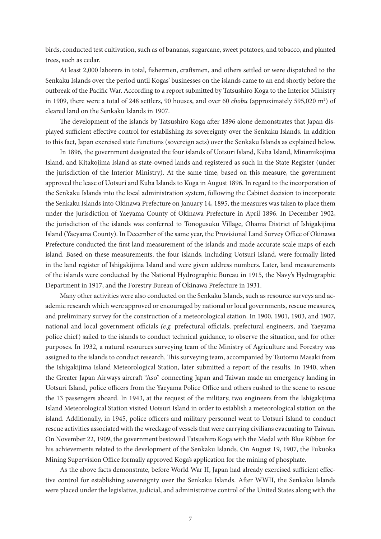birds, conducted test cultivation, such as of bananas, sugarcane, sweet potatoes, and tobacco, and planted trees, such as cedar.

At least 2,000 laborers in total, fishermen, craftsmen, and others settled or were dispatched to the Senkaku Islands over the period until Kogas' businesses on the islands came to an end shortly before the outbreak of the Pacific War. According to a report submitted by Tatsushiro Koga to the Interior Ministry in 1909, there were a total of 248 settlers, 90 houses, and over 60 *chobu* (approximately 595,020 m<sup>2</sup>) of cleared land on the Senkaku Islands in 1907.

The development of the islands by Tatsushiro Koga after 1896 alone demonstrates that Japan displayed sufficient effective control for establishing its sovereignty over the Senkaku Islands. In addition to this fact, Japan exercised state functions (sovereign acts) over the Senkaku Islands as explained below.

In 1896, the government designated the four islands of Uotsuri Island, Kuba Island, Minamikojima Island, and Kitakojima Island as state-owned lands and registered as such in the State Register (under the jurisdiction of the Interior Ministry). At the same time, based on this measure, the government approved the lease of Uotsuri and Kuba Islands to Koga in August 1896. In regard to the incorporation of the Senkaku Islands into the local administration system, following the Cabinet decision to incorporate the Senkaku Islands into Okinawa Prefecture on January 14, 1895, the measures was taken to place them under the jurisdiction of Yaeyama County of Okinawa Prefecture in April 1896. In December 1902, the jurisdiction of the islands was conferred to Tonogusuku Village, Ohama District of Ishigakijima Island (Yaeyama County). In December of the same year, the Provisional Land Survey Office of Okinawa Prefecture conducted the first land measurement of the islands and made accurate scale maps of each island. Based on these measurements, the four islands, including Uotsuri Island, were formally listed in the land register of Ishigakijima Island and were given address numbers. Later, land measurements of the islands were conducted by the National Hydrographic Bureau in 1915, the Navy's Hydrographic Department in 1917, and the Forestry Bureau of Okinawa Prefecture in 1931.

Many other activities were also conducted on the Senkaku Islands, such as resource surveys and academic research which were approved or encouraged by national or local governments, rescue measures, and preliminary survey for the construction of a meteorological station. In 1900, 1901, 1903, and 1907, national and local government officials *(e.g.* prefectural officials, prefectural engineers, and Yaeyama police chief) sailed to the islands to conduct technical guidance, to observe the situation, and for other purposes. In 1932, a natural resources surveying team of the Ministry of Agriculture and Forestry was assigned to the islands to conduct research. This surveying team, accompanied by Tsutomu Masaki from the Ishigakijima Island Meteorological Station, later submitted a report of the results. In 1940, when the Greater Japan Airways aircraft "Aso" connecting Japan and Taiwan made an emergency landing in Uotsuri Island, police officers from the Yaeyama Police Office and others rushed to the scene to rescue the 13 passengers aboard. In 1943, at the request of the military, two engineers from the Ishigakijima Island Meteorological Station visited Uotsuri Island in order to establish a meteorological station on the island. Additionally, in 1945, police officers and military personnel went to Uotsuri Island to conduct rescue activities associated with the wreckage of vessels that were carrying civilians evacuating to Taiwan. On November 22, 1909, the government bestowed Tatsushiro Koga with the Medal with Blue Ribbon for his achievements related to the development of the Senkaku Islands. On August 19, 1907, the Fukuoka Mining Supervision Office formally approved Koga's application for the mining of phosphate.

As the above facts demonstrate, before World War II, Japan had already exercised sufficient effective control for establishing sovereignty over the Senkaku Islands. After WWII, the Senkaku Islands were placed under the legislative, judicial, and administrative control of the United States along with the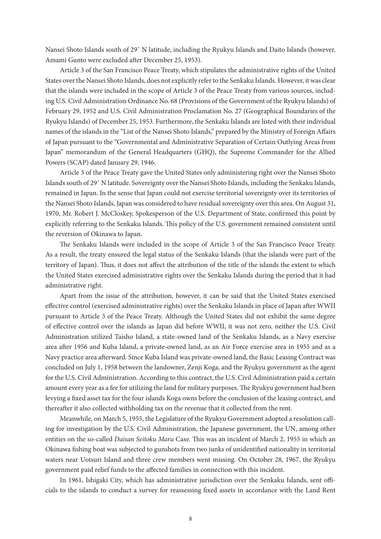Nansei Shoto Islands south of 29˚ N latitude, including the Ryukyu Islands and Daito Islands (however, Amami Gunto were excluded after December 25, 1953).

Article 3 of the San Francisco Peace Treaty, which stipulates the administrative rights of the United States over the Nansei Shoto Islands, does not explicitly refer to the Senkaku Islands. However, it was clear that the islands were included in the scope of Article 3 of the Peace Treaty from various sources, including U.S. Civil Administration Ordinance No. 68 (Provisions of the Government of the Ryukyu Islands) of February 29, 1952 and U.S. Civil Administration Proclamation No. 27 (Geographical Boundaries of the Ryukyu Islands) of December 25, 1953. Furthermore, the Senkaku Islands are listed with their individual names of the islands in the "List of the Nansei Shoto Islands," prepared by the Ministry of Foreign Affairs of Japan pursuant to the "Governmental and Administrative Separation of Certain Outlying Areas from Japan" memorandum of the General Headquarters (GHQ), the Supreme Commander for the Allied Powers (SCAP) dated January 29, 1946.

Article 3 of the Peace Treaty gave the United States only administering right over the Nansei Shoto Islands south of 29˚ N latitude. Sovereignty over the Nansei Shoto Islands, including the Senkaku Islands, remained in Japan. In the sense that Japan could not exercise territorial sovereignty over its territories of the Nansei Shoto Islands, Japan was considered to have residual sovereignty over this area. On August 31, 1970, Mr. Robert J. McCloskey, Spokesperson of the U.S. Department of State, confirmed this point by explicitly referring to the Senkaku Islands. This policy of the U.S. government remained consistent until the reversion of Okinawa to Japan.

The Senkaku Islands were included in the scope of Article 3 of the San Francisco Peace Treaty. As a result, the treaty ensured the legal status of the Senkaku Islands (that the islands were part of the territory of Japan). Thus, it does not affect the attribution of the title of the islands the extent to which the United States exercised administrative rights over the Senkaku Islands during the period that it had administrative right.

Apart from the issue of the attribution, however, it can be said that the United States exercised effective control (exercised administrative rights) over the Senkaku Islands in place of Japan after WWII pursuant to Article 3 of the Peace Treaty. Although the United States did not exhibit the same degree of effective control over the islands as Japan did before WWII, it was not zero, neither the U.S. Civil Administration utilized Taisho Island, a state-owned land of the Senkaku Islands, as a Navy exercise area after 1956 and Kuba Island, a private-owned land, as an Air Force exercise area in 1955 and as a Navy practice area afterward. Since Kuba Island was private-owned land, the Basic Leasing Contract was concluded on July 1, 1958 between the landowner, Zenji Koga, and the Ryukyu government as the agent for the U.S. Civil Administration. According to this contract, the U.S. Civil Administration paid a certain amount every year as a fee for utilizing the land for military purposes. The Ryukyu government had been levying a fixed asset tax for the four islands Koga owns before the conclusion of the leasing contract, and thereafter it also collected withholding tax on the revenue that it collected from the rent.

Meanwhile, on March 5, 1955, the Legislature of the Ryukyu Government adopted a resolution calling for investigation by the U.S. Civil Administration, the Japanese government, the UN, among other entities on the so-called *Daisan Seitoku Maru* Case. This was an incident of March 2, 1955 in which an Okinawa fishing boat was subjected to gunshots from two junks of unidentified nationality in territorial waters near Uotsuri Island and three crew members went missing. On October 28, 1967, the Ryukyu government paid relief funds to the affected families in connection with this incident.

In 1961, Ishigaki City, which has administrative jurisdiction over the Senkaku Islands, sent officials to the islands to conduct a survey for reassessing fixed assets in accordance with the Land Rent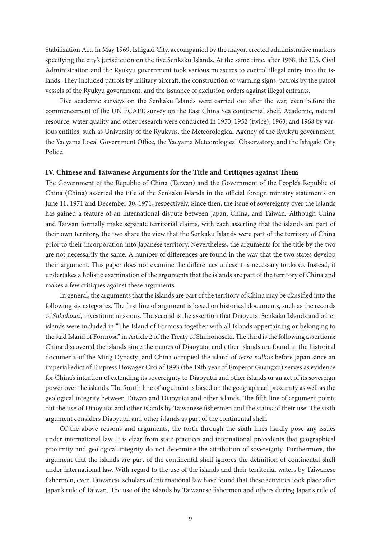Stabilization Act. In May 1969, Ishigaki City, accompanied by the mayor, erected administrative markers specifying the city's jurisdiction on the five Senkaku Islands. At the same time, after 1968, the U.S. Civil Administration and the Ryukyu government took various measures to control illegal entry into the islands. They included patrols by military aircraft, the construction of warning signs, patrols by the patrol vessels of the Ryukyu government, and the issuance of exclusion orders against illegal entrants.

Five academic surveys on the Senkaku Islands were carried out after the war, even before the commencement of the UN ECAFE survey on the East China Sea continental shelf. Academic, natural resource, water quality and other research were conducted in 1950, 1952 (twice), 1963, and 1968 by various entities, such as University of the Ryukyus, the Meteorological Agency of the Ryukyu government, the Yaeyama Local Government Office, the Yaeyama Meteorological Observatory, and the Ishigaki City Police.

#### **IV. Chinese and Taiwanese Arguments for the Title and Critiques against Them**

The Government of the Republic of China (Taiwan) and the Government of the People's Republic of China (China) asserted the title of the Senkaku Islands in the official foreign ministry statements on June 11, 1971 and December 30, 1971, respectively. Since then, the issue of sovereignty over the Islands has gained a feature of an international dispute between Japan, China, and Taiwan. Although China and Taiwan formally make separate territorial claims, with each asserting that the islands are part of their own territory, the two share the view that the Senkaku Islands were part of the territory of China prior to their incorporation into Japanese territory. Nevertheless, the arguments for the title by the two are not necessarily the same. A number of differences are found in the way that the two states develop their argument. This paper does not examine the differences unless it is necessary to do so. Instead, it undertakes a holistic examination of the arguments that the islands are part of the territory of China and makes a few critiques against these arguments.

In general, the arguments that the islands are part of the territory of China may be classified into the following six categories. The first line of argument is based on historical documents, such as the records of *Sakuhousi,* investiture missions. The second is the assertion that Diaoyutai Senkaku Islands and other islands were included in "The Island of Formosa together with all Islands appertaining or belonging to the said Island of Formosa" in Article 2 of the Treaty of Shimonoseki. The third is the following assertions: China discovered the islands since the names of Diaoyutai and other islands are found in the historical documents of the Ming Dynasty; and China occupied the island of *terra nullius* before Japan since an imperial edict of Empress Dowager Cixi of 1893 (the 19th year of Emperor Guangxu) serves as evidence for China's intention of extending its sovereignty to Diaoyutai and other islands or an act of its sovereign power over the islands. The fourth line of argument is based on the geographical proximity as well as the geological integrity between Taiwan and Diaoyutai and other islands. The fifth line of argument points out the use of Diaoyutai and other islands by Taiwanese fishermen and the status of their use. The sixth argument considers Diaoyutai and other islands as part of the continental shelf.

Of the above reasons and arguments, the forth through the sixth lines hardly pose any issues under international law. It is clear from state practices and international precedents that geographical proximity and geological integrity do not determine the attribution of sovereignty. Furthermore, the argument that the islands are part of the continental shelf ignores the definition of continental shelf under international law. With regard to the use of the islands and their territorial waters by Taiwanese fishermen, even Taiwanese scholars of international law have found that these activities took place after Japan's rule of Taiwan. The use of the islands by Taiwanese fishermen and others during Japan's rule of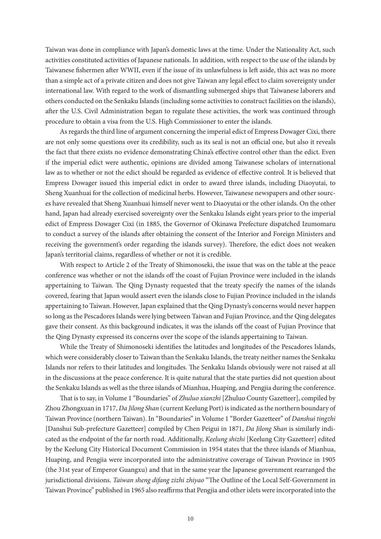Taiwan was done in compliance with Japan's domestic laws at the time. Under the Nationality Act, such activities constituted activities of Japanese nationals. In addition, with respect to the use of the islands by Taiwanese fishermen after WWII, even if the issue of its unlawfulness is left aside, this act was no more than a simple act of a private citizen and does not give Taiwan any legal effect to claim sovereignty under international law. With regard to the work of dismantling submerged ships that Taiwanese laborers and others conducted on the Senkaku Islands (including some activities to construct facilities on the islands), after the U.S. Civil Administration began to regulate these activities, the work was continued through procedure to obtain a visa from the U.S. High Commissioner to enter the islands.

As regards the third line of argument concerning the imperial edict of Empress Dowager Cixi, there are not only some questions over its credibility, such as its seal is not an official one, but also it reveals the fact that there exists no evidence demonstrating China's effective control other than the edict. Even if the imperial edict were authentic, opinions are divided among Taiwanese scholars of international law as to whether or not the edict should be regarded as evidence of effective control. It is believed that Empress Dowager issued this imperial edict in order to award three islands, including Diaoyutai, to Sheng Xuanhuai for the collection of medicinal herbs. However, Taiwanese newspapers and other sources have revealed that Sheng Xuanhuai himself never went to Diaoyutai or the other islands. On the other hand, Japan had already exercised sovereignty over the Senkaku Islands eight years prior to the imperial edict of Empress Dowager Cixi (in 1885, the Governor of Okinawa Prefecture dispatched Izumomaru to conduct a survey of the islands after obtaining the consent of the Interior and Foreign Ministers and receiving the government's order regarding the islands survey). Therefore, the edict does not weaken Japan's territorial claims, regardless of whether or not it is credible.

With respect to Article 2 of the Treaty of Shimonoseki, the issue that was on the table at the peace conference was whether or not the islands off the coast of Fujian Province were included in the islands appertaining to Taiwan. The Qing Dynasty requested that the treaty specify the names of the islands covered, fearing that Japan would assert even the islands close to Fujian Province included in the islands appertaining to Taiwan. However, Japan explained that the Qing Dynasty's concerns would never happen so long as the Pescadores Islands were lying between Taiwan and Fujian Province, and the Qing delegates gave their consent. As this background indicates, it was the islands off the coast of Fujian Province that the Qing Dynasty expressed its concerns over the scope of the islands appertaining to Taiwan.

While the Treaty of Shimonoseki identifies the latitudes and longitudes of the Pescadores Islands, which were considerably closer to Taiwan than the Senkaku Islands, the treaty neither names the Senkaku Islands nor refers to their latitudes and longitudes. The Senkaku Islands obviously were not raised at all in the discussions at the peace conference. It is quite natural that the state parties did not question about the Senkaku Islands as well as the three islands of Mianhua, Huaping, and Pengjia during the conference.

That is to say, in Volume 1 "Boundaries" of *Zhuluo xianzhi* [Zhuluo County Gazetteer], compiled by Zhou Zhongxuan in 1717, *Da Jilong Shan* (current Keelung Port) is indicated as the northern boundary of Taiwan Province (northern Taiwan). In "Boundaries" in Volume 1 "Border Gazetteer" of *Danshui tingzhi* [Danshui Sub-prefecture Gazetteer] compiled by Chen Peigui in 1871, *Da Jilong Shan* is similarly indicated as the endpoint of the far north road. Additionally, *Keelung shizhi* [Keelung City Gazetteer] edited by the Keelung City Historical Document Commission in 1954 states that the three islands of Mianhua, Huaping, and Pengjia were incorporated into the administrative coverage of Taiwan Province in 1905 (the 31st year of Emperor Guangxu) and that in the same year the Japanese government rearranged the jurisdictional divisions. *Taiwan sheng difang zizhi zhiyao* "The Outline of the Local Self-Government in Taiwan Province" published in 1965 also reaffirms that Pengjia and other islets were incorporated into the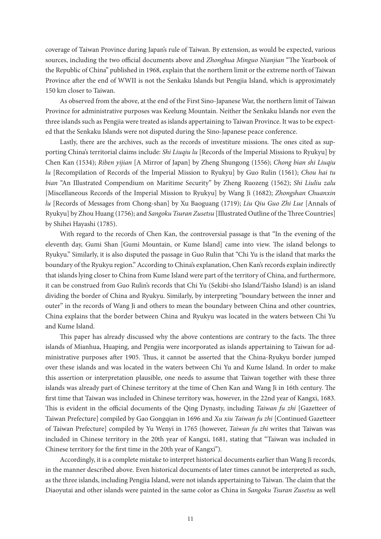coverage of Taiwan Province during Japan's rule of Taiwan. By extension, as would be expected, various sources, including the two official documents above and *Zhonghua Minguo Nianjian* "The Yearbook of the Republic of China" published in 1968, explain that the northern limit or the extreme north of Taiwan Province after the end of WWII is not the Senkaku Islands but Pengjia Island, which is approximately 150 km closer to Taiwan.

As observed from the above, at the end of the First Sino-Japanese War, the northern limit of Taiwan Province for administrative purposes was Keelung Mountain. Neither the Senkaku Islands nor even the three islands such as Pengjia were treated as islands appertaining to Taiwan Province. It was to be expected that the Senkaku Islands were not disputed during the Sino-Japanese peace conference.

Lastly, there are the archives, such as the records of investiture missions. The ones cited as supporting China's territorial claims include: *Shi Liuqiu lu* [Records of the Imperial Missions to Ryukyu] by Chen Kan (1534); *Riben yijian* [A Mirror of Japan] by Zheng Shungong (1556); *Chong bian shi Liuqiu lu* [Recompilation of Records of the Imperial Mission to Ryukyu] by Guo Rulin (1561); *Chou hai tu bian* "An Illustrated Compendium on Maritime Security" by Zheng Ruozeng (1562); *Shi Liuliu zalu*  [Miscellaneous Records of the Imperial Mission to Ryukyu] by Wang Ji (1682); *Zhongshan Chuanxin lu* [Records of Messages from Chong-shan] by Xu Baoguang (1719); *Liu Qiu Guo Zhi Lue* [Annals of Ryukyu] by Zhou Huang (1756); and *Sangoku Tsuran Zusetsu* [Illustrated Outline of the Three Countries] by Shihei Hayashi (1785).

With regard to the records of Chen Kan, the controversial passage is that "In the evening of the eleventh day, Gumi Shan [Gumi Mountain, or Kume Island] came into view. The island belongs to Ryukyu." Similarly, it is also disputed the passage in Guo Rulin that "Chi Yu is the island that marks the boundary of the Ryukyu region." According to China's explanation, Chen Kan's records explain indirectly that islands lying closer to China from Kume Island were part of the territory of China, and furthermore, it can be construed from Guo Rulin's records that Chi Yu (Sekibi-sho Island/Taisho Island) is an island dividing the border of China and Ryukyu. Similarly, by interpreting "boundary between the inner and outer" in the records of Wang Ji and others to mean the boundary between China and other countries, China explains that the border between China and Ryukyu was located in the waters between Chi Yu and Kume Island.

This paper has already discussed why the above contentions are contrary to the facts. The three islands of Mianhua, Huaping, and Pengjia were incorporated as islands appertaining to Taiwan for administrative purposes after 1905. Thus, it cannot be asserted that the China-Ryukyu border jumped over these islands and was located in the waters between Chi Yu and Kume Island. In order to make this assertion or interpretation plausible, one needs to assume that Taiwan together with these three islands was already part of Chinese territory at the time of Chen Kan and Wang Ji in 16th century. The first time that Taiwan was included in Chinese territory was, however, in the 22nd year of Kangxi, 1683. This is evident in the official documents of the Qing Dynasty, including *Taiwan fu zhi* [Gazetteer of Taiwan Prefecture] compiled by Gao Gongqian in 1696 and *Xu xiu Taiwan fu zhi* [Continued Gazetteer of Taiwan Prefecture] compiled by Yu Wenyi in 1765 (however, *Taiwan fu zhi* writes that Taiwan was included in Chinese territory in the 20th year of Kangxi, 1681, stating that "Taiwan was included in Chinese territory for the first time in the 20th year of Kangxi").

Accordingly, it is a complete mistake to interpret historical documents earlier than Wang Ji records, in the manner described above. Even historical documents of later times cannot be interpreted as such, as the three islands, including Pengjia Island, were not islands appertaining to Taiwan. The claim that the Diaoyutai and other islands were painted in the same color as China in *Sangoku Tsuran Zusetsu* as well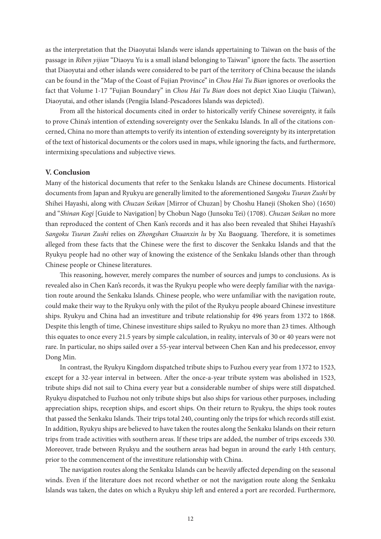as the interpretation that the Diaoyutai Islands were islands appertaining to Taiwan on the basis of the passage in *Riben yijian* "Diaoyu Yu is a small island belonging to Taiwan" ignore the facts. The assertion that Diaoyutai and other islands were considered to be part of the territory of China because the islands can be found in the "Map of the Coast of Fujian Province" in *Chou Hai Tu Bian* ignores or overlooks the fact that Volume 1-17 "Fujian Boundary" in *Chou Hai Tu Bian* does not depict Xiao Liuqiu (Taiwan), Diaoyutai, and other islands (Pengjia Island-Pescadores Islands was depicted).

From all the historical documents cited in order to historically verify Chinese sovereignty, it fails to prove China's intention of extending sovereignty over the Senkaku Islands. In all of the citations concerned, China no more than attempts to verify its intention of extending sovereignty by its interpretation of the text of historical documents or the colors used in maps, while ignoring the facts, and furthermore, intermixing speculations and subjective views.

# **V. Conclusion**

Many of the historical documents that refer to the Senkaku Islands are Chinese documents. Historical documents from Japan and Ryukyu are generally limited to the aforementioned *Sangoku Tsuran Zushi* by Shihei Hayashi, along with *Chuzan Seikan* [Mirror of Chuzan] by Choshu Haneji (Shoken Sho) (1650) and "*Shinan Kogi* [Guide to Navigation] by Chobun Nago (Junsoku Tei) (1708). *Chuzan Seikan* no more than reproduced the content of Chen Kan's records and it has also been revealed that Shihei Hayashi's *Sangoku Tsuran Zushi* relies on *Zhongshan Chuanxin lu* by Xu Baoguang. Therefore, it is sometimes alleged from these facts that the Chinese were the first to discover the Senkaku Islands and that the Ryukyu people had no other way of knowing the existence of the Senkaku Islands other than through Chinese people or Chinese literatures.

This reasoning, however, merely compares the number of sources and jumps to conclusions. As is revealed also in Chen Kan's records, it was the Ryukyu people who were deeply familiar with the navigation route around the Senkaku Islands. Chinese people, who were unfamiliar with the navigation route, could make their way to the Ryukyu only with the pilot of the Ryukyu people aboard Chinese investiture ships. Ryukyu and China had an investiture and tribute relationship for 496 years from 1372 to 1868. Despite this length of time, Chinese investiture ships sailed to Ryukyu no more than 23 times. Although this equates to once every 21.5 years by simple calculation, in reality, intervals of 30 or 40 years were not rare. In particular, no ships sailed over a 55-year interval between Chen Kan and his predecessor, envoy Dong Min.

In contrast, the Ryukyu Kingdom dispatched tribute ships to Fuzhou every year from 1372 to 1523, except for a 32-year interval in between. After the once-a-year tribute system was abolished in 1523, tribute ships did not sail to China every year but a considerable number of ships were still dispatched. Ryukyu dispatched to Fuzhou not only tribute ships but also ships for various other purposes, including appreciation ships, reception ships, and escort ships. On their return to Ryukyu, the ships took routes that passed the Senkaku Islands. Their trips total 240, counting only the trips for which records still exist. In addition, Ryukyu ships are believed to have taken the routes along the Senkaku Islands on their return trips from trade activities with southern areas. If these trips are added, the number of trips exceeds 330. Moreover, trade between Ryukyu and the southern areas had begun in around the early 14th century, prior to the commencement of the investiture relationship with China.

The navigation routes along the Senkaku Islands can be heavily affected depending on the seasonal winds. Even if the literature does not record whether or not the navigation route along the Senkaku Islands was taken, the dates on which a Ryukyu ship left and entered a port are recorded. Furthermore,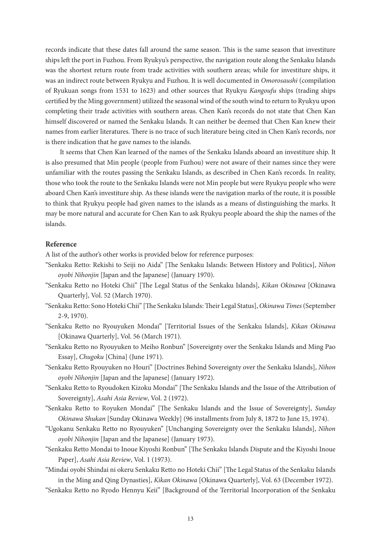records indicate that these dates fall around the same season. This is the same season that investiture ships left the port in Fuzhou. From Ryukyu's perspective, the navigation route along the Senkaku Islands was the shortest return route from trade activities with southern areas; while for investiture ships, it was an indirect route between Ryukyu and Fuzhou. It is well documented in *Omorosaushi* (compilation of Ryukuan songs from 1531 to 1623) and other sources that Ryukyu *Kangoufu* ships (trading ships certified by the Ming government) utilized the seasonal wind of the south wind to return to Ryukyu upon completing their trade activities with southern areas. Chen Kan's records do not state that Chen Kan himself discovered or named the Senkaku Islands. It can neither be deemed that Chen Kan knew their names from earlier literatures. There is no trace of such literature being cited in Chen Kan's records, nor is there indication that he gave names to the islands.

It seems that Chen Kan learned of the names of the Senkaku Islands aboard an investiture ship. It is also presumed that Min people (people from Fuzhou) were not aware of their names since they were unfamiliar with the routes passing the Senkaku Islands, as described in Chen Kan's records. In reality, those who took the route to the Senkaku Islands were not Min people but were Ryukyu people who were aboard Chen Kan's investiture ship. As these islands were the navigation marks of the route, it is possible to think that Ryukyu people had given names to the islands as a means of distinguishing the marks. It may be more natural and accurate for Chen Kan to ask Ryukyu people aboard the ship the names of the islands.

# **Reference**

A list of the author's other works is provided below for reference purposes:

- "Senkaku Retto: Rekishi to Seiji no Aida" [The Senkaku Islands: Between History and Politics], *Nihon oyobi Nihonjin* [Japan and the Japanese] (January 1970).
- "Senkaku Retto no Hoteki Chii" [The Legal Status of the Senkaku Islands], *Kikan Okinawa* [Okinawa Quarterly], Vol. 52 (March 1970).
- "Senkaku Retto: Sono Hoteki Chii" [The Senkaku Islands: Their Legal Status], *Okinawa Times* (September 2-9, 1970).
- "Senkaku Retto no Ryouyuken Mondai" [Territorial Issues of the Senkaku Islands], *Kikan Okinawa* [Okinawa Quarterly], Vol. 56 (March 1971).
- "Senkaku Retto no Ryouyuken to Meiho Ronbun" [Sovereignty over the Senkaku Islands and Ming Pao Essay], *Chugoku* [China] (June 1971).
- "Senkaku Retto Ryouyuken no Houri" [Doctrines Behind Sovereignty over the Senkaku Islands], *Nihon oyobi Nihonjin* [Japan and the Japanese] (January 1972).
- "Senkaku Retto to Ryoudoken Kizoku Mondai" [The Senkaku Islands and the Issue of the Attribution of Sovereignty], *Asahi Asia Review*, Vol. 2 (1972).
- "Senkaku Retto to Royuken Mondai" [The Senkaku Islands and the Issue of Sovereignty], *Sunday Okinawa Shukan* [Sunday Okinawa Weekly] (96 installments from July 8, 1872 to June 15, 1974).
- "Ugokanu Senkaku Retto no Ryouyuken" [Unchanging Sovereignty over the Senkaku Islands], *Nihon oyobi Nihonjin* [Japan and the Japanese] (January 1973).
- "Senkaku Retto Mondai to Inoue Kiyoshi Ronbun" [The Senkaku Islands Dispute and the Kiyoshi Inoue Paper], *Asahi Asia Review*, Vol. 1 (1973).
- "Mindai oyobi Shindai ni okeru Senkaku Retto no Hoteki Chii" [The Legal Status of the Senkaku Islands in the Ming and Qing Dynasties], *Kikan Okinawa* [Okinawa Quarterly], Vol. 63 (December 1972).
- "Senkaku Retto no Ryodo Hennyu Keii" [Background of the Territorial Incorporation of the Senkaku